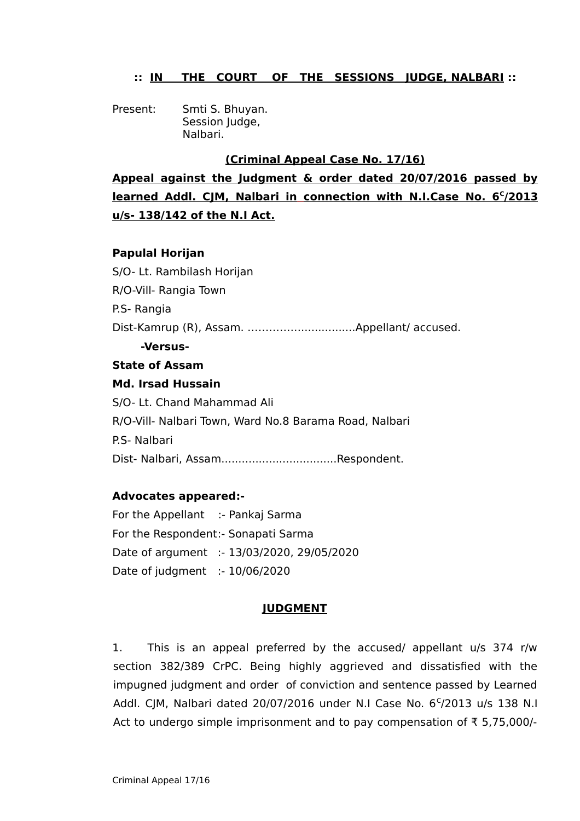## **:: IN THE COURT OF THE SESSIONS JUDGE, NALBARI ::**

Present: Smti S. Bhuyan. Session Judge, Nalbari.

### **(Criminal Appeal Case No. 17/16)**

**Appeal against the Judgment & order dated 20/07/2016 passed by learned Addl. CJM, Nalbari in connection with N.I.Case No. 6<sup>C</sup> /2013 u/s- 138/142 of the N.I Act.**

### **Papulal Horijan**

S/O- Lt. Rambilash Horijan R/O-Vill- Rangia Town P.S- Rangia Dist-Kamrup (R), Assam. ……………................Appellant/ accused. **-Versus-State of Assam Md. Irsad Hussain** S/O- Lt. Chand Mahammad Ali R/O-Vill- Nalbari Town, Ward No.8 Barama Road, Nalbari

P.S- Nalbari

Dist- Nalbari, Assam..................................Respondent.

# **Advocates appeared:-**

For the Appellant :- Pankaj Sarma For the Respondent:- Sonapati Sarma Date of argument :- 13/03/2020, 29/05/2020 Date of judgment :- 10/06/2020

### **JUDGMENT**

1. This is an appeal preferred by the accused/ appellant u/s 374 r/w section 382/389 CrPC. Being highly aggrieved and dissatisfied with the impugned judgment and order of conviction and sentence passed by Learned Addl. CJM, Nalbari dated 20/07/2016 under N.I Case No. 6 $c/$ 2013 u/s 138 N.I Act to undergo simple imprisonment and to pay compensation of ₹ 5,75,000/-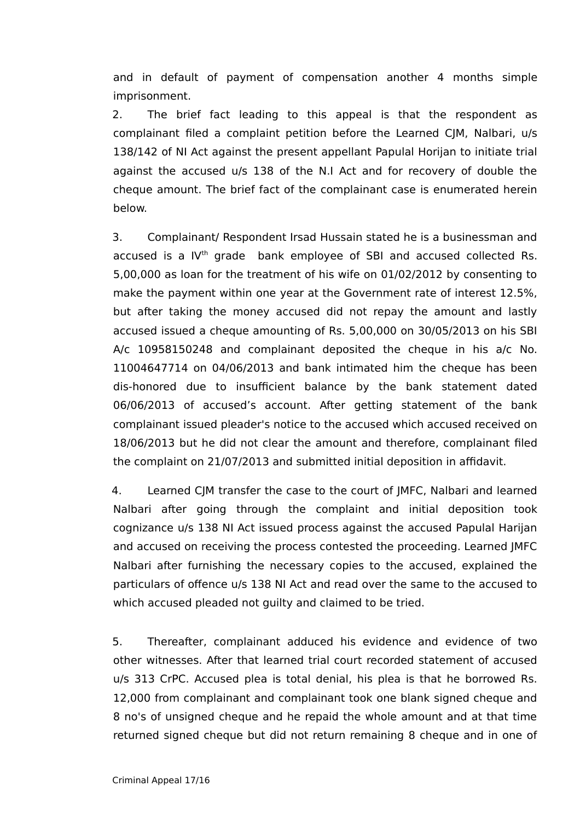and in default of payment of compensation another 4 months simple imprisonment.

2. The brief fact leading to this appeal is that the respondent as complainant filed a complaint petition before the Learned CJM, Nalbari, u/s 138/142 of NI Act against the present appellant Papulal Horijan to initiate trial against the accused u/s 138 of the N.I Act and for recovery of double the cheque amount. The brief fact of the complainant case is enumerated herein below.

3. Complainant/ Respondent Irsad Hussain stated he is a businessman and accused is a IV<sup>th</sup> grade bank employee of SBI and accused collected Rs. 5,00,000 as loan for the treatment of his wife on 01/02/2012 by consenting to make the payment within one year at the Government rate of interest 12.5%, but after taking the money accused did not repay the amount and lastly accused issued a cheque amounting of Rs. 5,00,000 on 30/05/2013 on his SBI A/c 10958150248 and complainant deposited the cheque in his a/c No. 11004647714 on 04/06/2013 and bank intimated him the cheque has been dis-honored due to insufficient balance by the bank statement dated 06/06/2013 of accused's account. After getting statement of the bank complainant issued pleader's notice to the accused which accused received on 18/06/2013 but he did not clear the amount and therefore, complainant filed the complaint on 21/07/2013 and submitted initial deposition in affidavit.

4. Learned CJM transfer the case to the court of JMFC, Nalbari and learned Nalbari after going through the complaint and initial deposition took cognizance u/s 138 NI Act issued process against the accused Papulal Harijan and accused on receiving the process contested the proceeding. Learned JMFC Nalbari after furnishing the necessary copies to the accused, explained the particulars of offence u/s 138 NI Act and read over the same to the accused to which accused pleaded not guilty and claimed to be tried.

5. Thereafter, complainant adduced his evidence and evidence of two other witnesses. After that learned trial court recorded statement of accused u/s 313 CrPC. Accused plea is total denial, his plea is that he borrowed Rs. 12,000 from complainant and complainant took one blank signed cheque and 8 no's of unsigned cheque and he repaid the whole amount and at that time returned signed cheque but did not return remaining 8 cheque and in one of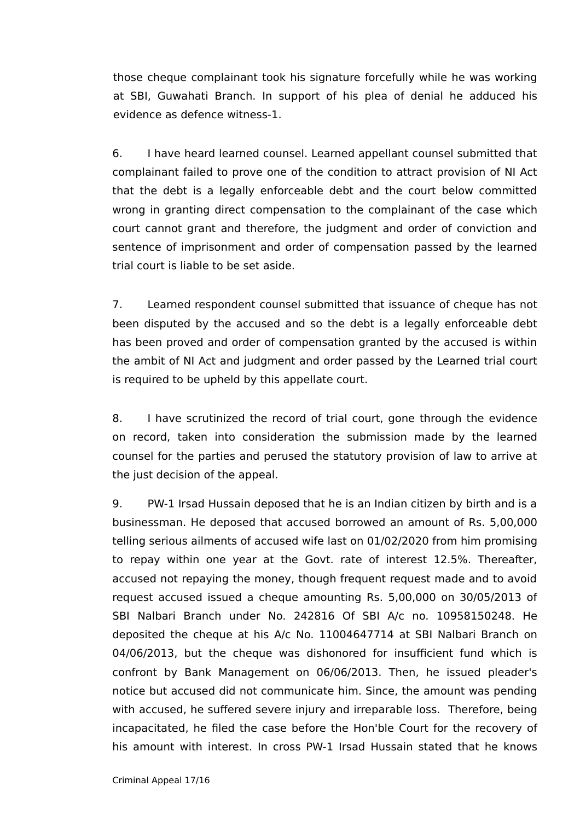those cheque complainant took his signature forcefully while he was working at SBI, Guwahati Branch. In support of his plea of denial he adduced his evidence as defence witness-1.

6. I have heard learned counsel. Learned appellant counsel submitted that complainant failed to prove one of the condition to attract provision of NI Act that the debt is a legally enforceable debt and the court below committed wrong in granting direct compensation to the complainant of the case which court cannot grant and therefore, the judgment and order of conviction and sentence of imprisonment and order of compensation passed by the learned trial court is liable to be set aside.

7. Learned respondent counsel submitted that issuance of cheque has not been disputed by the accused and so the debt is a legally enforceable debt has been proved and order of compensation granted by the accused is within the ambit of NI Act and judgment and order passed by the Learned trial court is required to be upheld by this appellate court.

8. I have scrutinized the record of trial court, gone through the evidence on record, taken into consideration the submission made by the learned counsel for the parties and perused the statutory provision of law to arrive at the just decision of the appeal.

9. PW-1 Irsad Hussain deposed that he is an Indian citizen by birth and is a businessman. He deposed that accused borrowed an amount of Rs. 5,00,000 telling serious ailments of accused wife last on 01/02/2020 from him promising to repay within one year at the Govt. rate of interest 12.5%. Thereafter, accused not repaying the money, though frequent request made and to avoid request accused issued a cheque amounting Rs. 5,00,000 on 30/05/2013 of SBI Nalbari Branch under No. 242816 Of SBI A/c no. 10958150248. He deposited the cheque at his A/c No. 11004647714 at SBI Nalbari Branch on 04/06/2013, but the cheque was dishonored for insufficient fund which is confront by Bank Management on 06/06/2013. Then, he issued pleader's notice but accused did not communicate him. Since, the amount was pending with accused, he suffered severe injury and irreparable loss. Therefore, being incapacitated, he filed the case before the Hon'ble Court for the recovery of his amount with interest. In cross PW-1 Irsad Hussain stated that he knows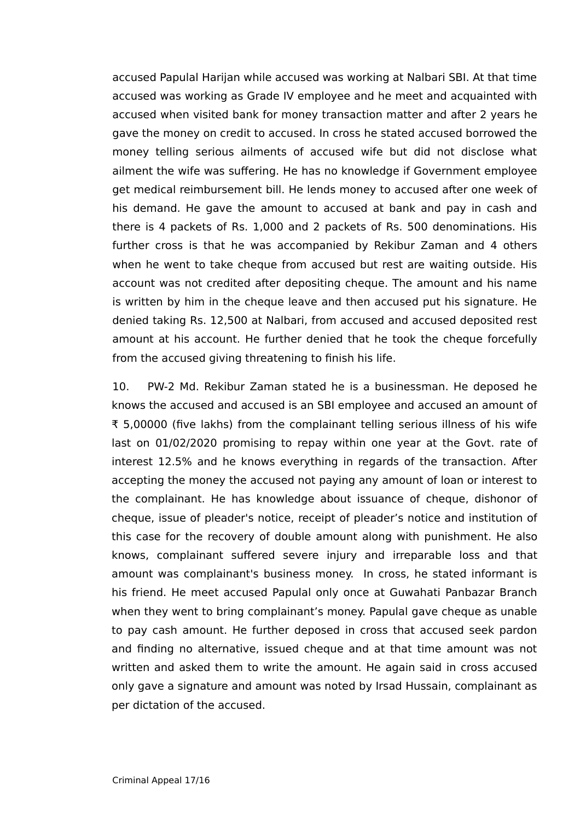accused Papulal Harijan while accused was working at Nalbari SBI. At that time accused was working as Grade IV employee and he meet and acquainted with accused when visited bank for money transaction matter and after 2 years he gave the money on credit to accused. In cross he stated accused borrowed the money telling serious ailments of accused wife but did not disclose what ailment the wife was suffering. He has no knowledge if Government employee get medical reimbursement bill. He lends money to accused after one week of his demand. He gave the amount to accused at bank and pay in cash and there is 4 packets of Rs. 1,000 and 2 packets of Rs. 500 denominations. His further cross is that he was accompanied by Rekibur Zaman and 4 others when he went to take cheque from accused but rest are waiting outside. His account was not credited after depositing cheque. The amount and his name is written by him in the cheque leave and then accused put his signature. He denied taking Rs. 12,500 at Nalbari, from accused and accused deposited rest amount at his account. He further denied that he took the cheque forcefully from the accused giving threatening to finish his life.

10. PW-2 Md. Rekibur Zaman stated he is a businessman. He deposed he knows the accused and accused is an SBI employee and accused an amount of ₹ 5,00000 (five lakhs) from the complainant telling serious illness of his wife last on 01/02/2020 promising to repay within one year at the Govt. rate of interest 12.5% and he knows everything in regards of the transaction. After accepting the money the accused not paying any amount of loan or interest to the complainant. He has knowledge about issuance of cheque, dishonor of cheque, issue of pleader's notice, receipt of pleader's notice and institution of this case for the recovery of double amount along with punishment. He also knows, complainant suffered severe injury and irreparable loss and that amount was complainant's business money. In cross, he stated informant is his friend. He meet accused Papulal only once at Guwahati Panbazar Branch when they went to bring complainant's money. Papulal gave cheque as unable to pay cash amount. He further deposed in cross that accused seek pardon and finding no alternative, issued cheque and at that time amount was not written and asked them to write the amount. He again said in cross accused only gave a signature and amount was noted by Irsad Hussain, complainant as per dictation of the accused.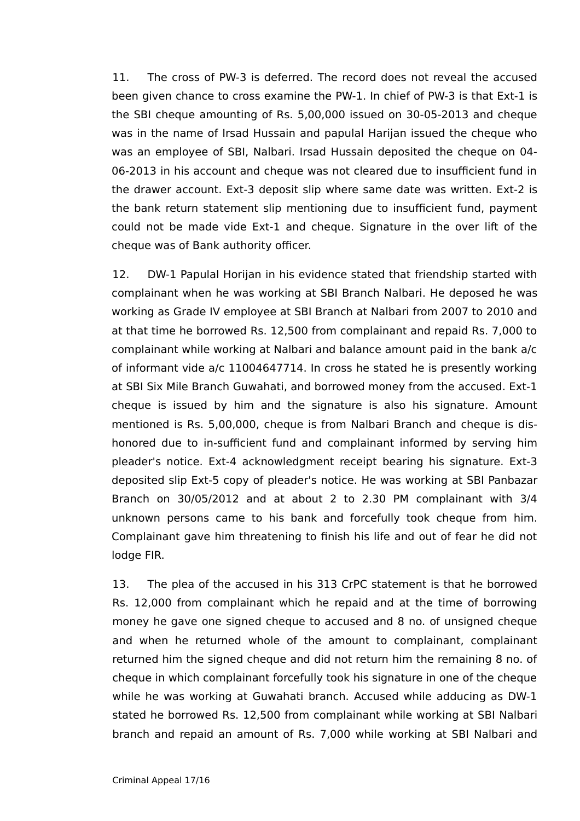11. The cross of PW-3 is deferred. The record does not reveal the accused been given chance to cross examine the PW-1. In chief of PW-3 is that Ext-1 is the SBI cheque amounting of Rs. 5,00,000 issued on 30-05-2013 and cheque was in the name of Irsad Hussain and papulal Harijan issued the cheque who was an employee of SBI, Nalbari. Irsad Hussain deposited the cheque on 04- 06-2013 in his account and cheque was not cleared due to insufficient fund in the drawer account. Ext-3 deposit slip where same date was written. Ext-2 is the bank return statement slip mentioning due to insufficient fund, payment could not be made vide Ext-1 and cheque. Signature in the over lift of the cheque was of Bank authority officer.

12. DW-1 Papulal Horijan in his evidence stated that friendship started with complainant when he was working at SBI Branch Nalbari. He deposed he was working as Grade IV employee at SBI Branch at Nalbari from 2007 to 2010 and at that time he borrowed Rs. 12,500 from complainant and repaid Rs. 7,000 to complainant while working at Nalbari and balance amount paid in the bank a/c of informant vide a/c 11004647714. In cross he stated he is presently working at SBI Six Mile Branch Guwahati, and borrowed money from the accused. Ext-1 cheque is issued by him and the signature is also his signature. Amount mentioned is Rs. 5,00,000, cheque is from Nalbari Branch and cheque is dishonored due to in-sufficient fund and complainant informed by serving him pleader's notice. Ext-4 acknowledgment receipt bearing his signature. Ext-3 deposited slip Ext-5 copy of pleader's notice. He was working at SBI Panbazar Branch on 30/05/2012 and at about 2 to 2.30 PM complainant with 3/4 unknown persons came to his bank and forcefully took cheque from him. Complainant gave him threatening to finish his life and out of fear he did not lodge FIR.

13. The plea of the accused in his 313 CrPC statement is that he borrowed Rs. 12,000 from complainant which he repaid and at the time of borrowing money he gave one signed cheque to accused and 8 no. of unsigned cheque and when he returned whole of the amount to complainant, complainant returned him the signed cheque and did not return him the remaining 8 no. of cheque in which complainant forcefully took his signature in one of the cheque while he was working at Guwahati branch. Accused while adducing as DW-1 stated he borrowed Rs. 12,500 from complainant while working at SBI Nalbari branch and repaid an amount of Rs. 7,000 while working at SBI Nalbari and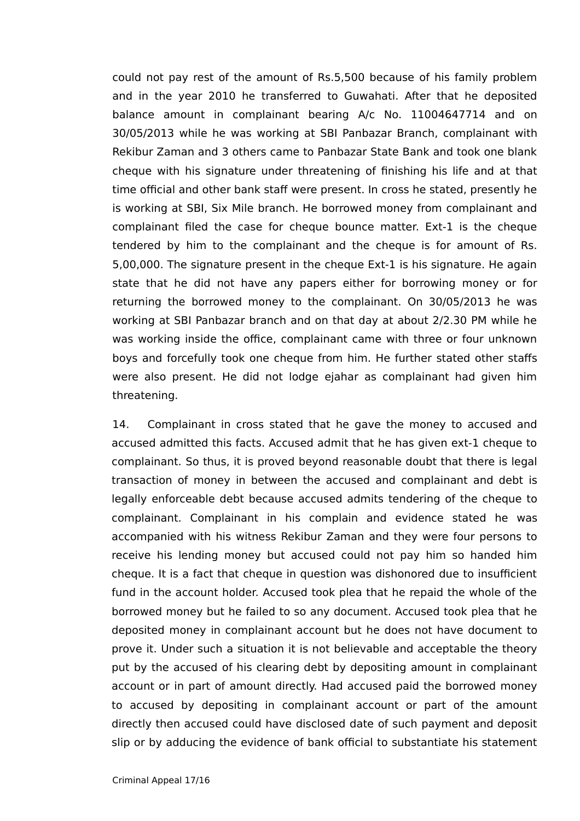could not pay rest of the amount of Rs.5,500 because of his family problem and in the year 2010 he transferred to Guwahati. After that he deposited balance amount in complainant bearing A/c No. 11004647714 and on 30/05/2013 while he was working at SBI Panbazar Branch, complainant with Rekibur Zaman and 3 others came to Panbazar State Bank and took one blank cheque with his signature under threatening of finishing his life and at that time official and other bank staff were present. In cross he stated, presently he is working at SBI, Six Mile branch. He borrowed money from complainant and complainant filed the case for cheque bounce matter. Ext-1 is the cheque tendered by him to the complainant and the cheque is for amount of Rs. 5,00,000. The signature present in the cheque Ext-1 is his signature. He again state that he did not have any papers either for borrowing money or for returning the borrowed money to the complainant. On 30/05/2013 he was working at SBI Panbazar branch and on that day at about 2/2.30 PM while he was working inside the office, complainant came with three or four unknown boys and forcefully took one cheque from him. He further stated other staffs were also present. He did not lodge ejahar as complainant had given him threatening.

14. Complainant in cross stated that he gave the money to accused and accused admitted this facts. Accused admit that he has given ext-1 cheque to complainant. So thus, it is proved beyond reasonable doubt that there is legal transaction of money in between the accused and complainant and debt is legally enforceable debt because accused admits tendering of the cheque to complainant. Complainant in his complain and evidence stated he was accompanied with his witness Rekibur Zaman and they were four persons to receive his lending money but accused could not pay him so handed him cheque. It is a fact that cheque in question was dishonored due to insufficient fund in the account holder. Accused took plea that he repaid the whole of the borrowed money but he failed to so any document. Accused took plea that he deposited money in complainant account but he does not have document to prove it. Under such a situation it is not believable and acceptable the theory put by the accused of his clearing debt by depositing amount in complainant account or in part of amount directly. Had accused paid the borrowed money to accused by depositing in complainant account or part of the amount directly then accused could have disclosed date of such payment and deposit slip or by adducing the evidence of bank official to substantiate his statement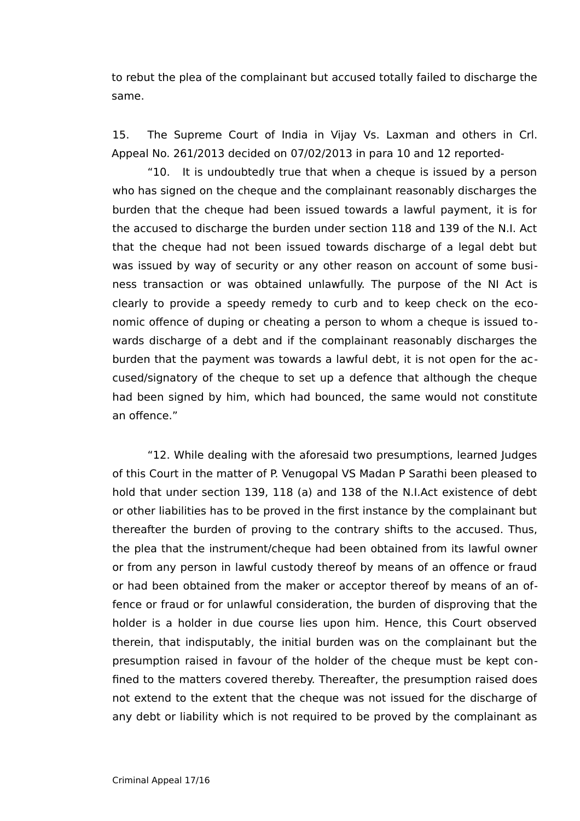to rebut the plea of the complainant but accused totally failed to discharge the same.

15. The Supreme Court of India in Vijay Vs. Laxman and others in Crl. Appeal No. 261/2013 decided on 07/02/2013 in para 10 and 12 reported-

"10. It is undoubtedly true that when a cheque is issued by a person who has signed on the cheque and the complainant reasonably discharges the burden that the cheque had been issued towards a lawful payment, it is for the accused to discharge the burden under section 118 and 139 of the N.I. Act that the cheque had not been issued towards discharge of a legal debt but was issued by way of security or any other reason on account of some business transaction or was obtained unlawfully. The purpose of the NI Act is clearly to provide a speedy remedy to curb and to keep check on the economic offence of duping or cheating a person to whom a cheque is issued towards discharge of a debt and if the complainant reasonably discharges the burden that the payment was towards a lawful debt, it is not open for the accused/signatory of the cheque to set up a defence that although the cheque had been signed by him, which had bounced, the same would not constitute an offence."

"12. While dealing with the aforesaid two presumptions, learned Judges of this Court in the matter of P. Venugopal VS Madan P Sarathi been pleased to hold that under section 139, 118 (a) and 138 of the N.I.Act existence of debt or other liabilities has to be proved in the first instance by the complainant but thereafter the burden of proving to the contrary shifts to the accused. Thus, the plea that the instrument/cheque had been obtained from its lawful owner or from any person in lawful custody thereof by means of an offence or fraud or had been obtained from the maker or acceptor thereof by means of an offence or fraud or for unlawful consideration, the burden of disproving that the holder is a holder in due course lies upon him. Hence, this Court observed therein, that indisputably, the initial burden was on the complainant but the presumption raised in favour of the holder of the cheque must be kept confined to the matters covered thereby. Thereafter, the presumption raised does not extend to the extent that the cheque was not issued for the discharge of any debt or liability which is not required to be proved by the complainant as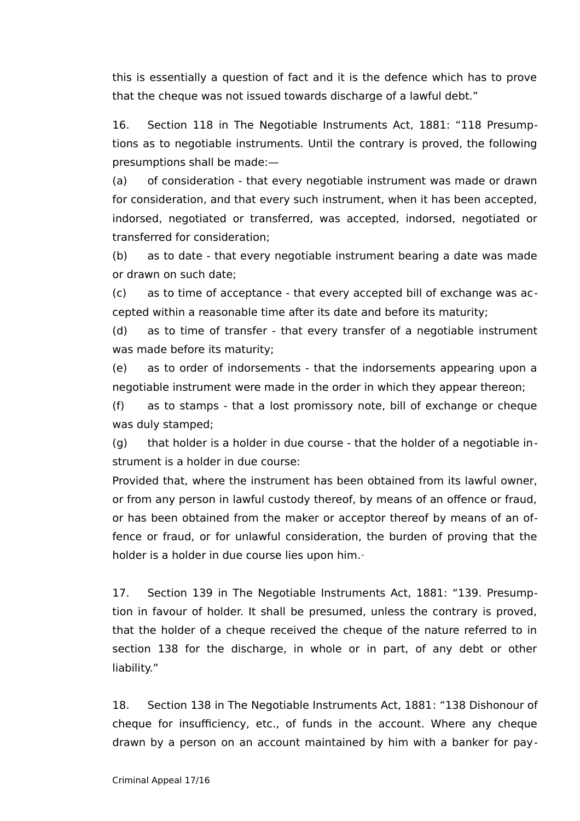this is essentially a question of fact and it is the defence which has to prove that the cheque was not issued towards discharge of a lawful debt."

16. Section 118 in The Negotiable Instruments Act, 1881: "118 Presumptions as to negotiable instruments. Until the contrary is proved, the following presumptions shall be made:—

(a) of consideration - that every negotiable instrument was made or drawn for consideration, and that every such instrument, when it has been accepted, indorsed, negotiated or transferred, was accepted, indorsed, negotiated or transferred for consideration;

(b) as to date - that every negotiable instrument bearing a date was made or drawn on such date;

(c) as to time of acceptance - that every accepted bill of exchange was accepted within a reasonable time after its date and before its maturity;

(d) as to time of transfer - that every transfer of a negotiable instrument was made before its maturity;

(e) as to order of indorsements - that the indorsements appearing upon a negotiable instrument were made in the order in which they appear thereon;

(f) as to stamps - that a lost promissory note, bill of exchange or cheque was duly stamped;

 $(a)$  that holder is a holder in due course - that the holder of a negotiable instrument is a holder in due course:

Provided that, where the instrument has been obtained from its lawful owner, or from any person in lawful custody thereof, by means of an offence or fraud, or has been obtained from the maker or acceptor thereof by means of an offence or fraud, or for unlawful consideration, the burden of proving that the holder is a holder in due course lies upon him.

17. Section 139 in The Negotiable Instruments Act, 1881: "139. Presumption in favour of holder. It shall be presumed, unless the contrary is proved, that the holder of a cheque received the cheque of the nature referred to in section 138 for the discharge, in whole or in part, of any debt or other liability."

18. Section 138 in The Negotiable Instruments Act, 1881: "138 Dishonour of cheque for insufficiency, etc., of funds in the account. Where any cheque drawn by a person on an account maintained by him with a banker for pay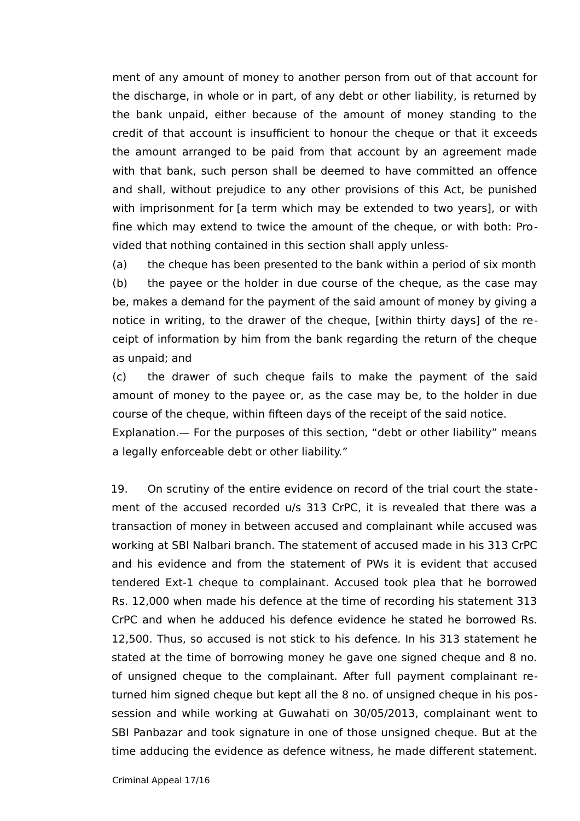ment of any amount of money to another person from out of that account for the discharge, in whole or in part, of any debt or other liability, is returned by the bank unpaid, either because of the amount of money standing to the credit of that account is insufficient to honour the cheque or that it exceeds the amount arranged to be paid from that account by an agreement made with that bank, such person shall be deemed to have committed an offence and shall, without prejudice to any other provisions of this Act, be punished with imprisonment for [a term which may be extended to two years], or with fine which may extend to twice the amount of the cheque, or with both: Provided that nothing contained in this section shall apply unless-

(a) the cheque has been presented to the bank within a period of six month (b) the payee or the holder in due course of the cheque, as the case may be, makes a demand for the payment of the said amount of money by giving a notice in writing, to the drawer of the cheque, [within thirty days] of the receipt of information by him from the bank regarding the return of the cheque as unpaid; and

(c) the drawer of such cheque fails to make the payment of the said amount of money to the payee or, as the case may be, to the holder in due course of the cheque, within fifteen days of the receipt of the said notice. Explanation.— For the purposes of this section, "debt or other liability" means

a legally enforceable debt or other liability."

19. On scrutiny of the entire evidence on record of the trial court the statement of the accused recorded u/s 313 CrPC, it is revealed that there was a transaction of money in between accused and complainant while accused was working at SBI Nalbari branch. The statement of accused made in his 313 CrPC and his evidence and from the statement of PWs it is evident that accused tendered Ext-1 cheque to complainant. Accused took plea that he borrowed Rs. 12,000 when made his defence at the time of recording his statement 313 CrPC and when he adduced his defence evidence he stated he borrowed Rs. 12,500. Thus, so accused is not stick to his defence. In his 313 statement he stated at the time of borrowing money he gave one signed cheque and 8 no. of unsigned cheque to the complainant. After full payment complainant returned him signed cheque but kept all the 8 no. of unsigned cheque in his possession and while working at Guwahati on 30/05/2013, complainant went to SBI Panbazar and took signature in one of those unsigned cheque. But at the time adducing the evidence as defence witness, he made different statement.